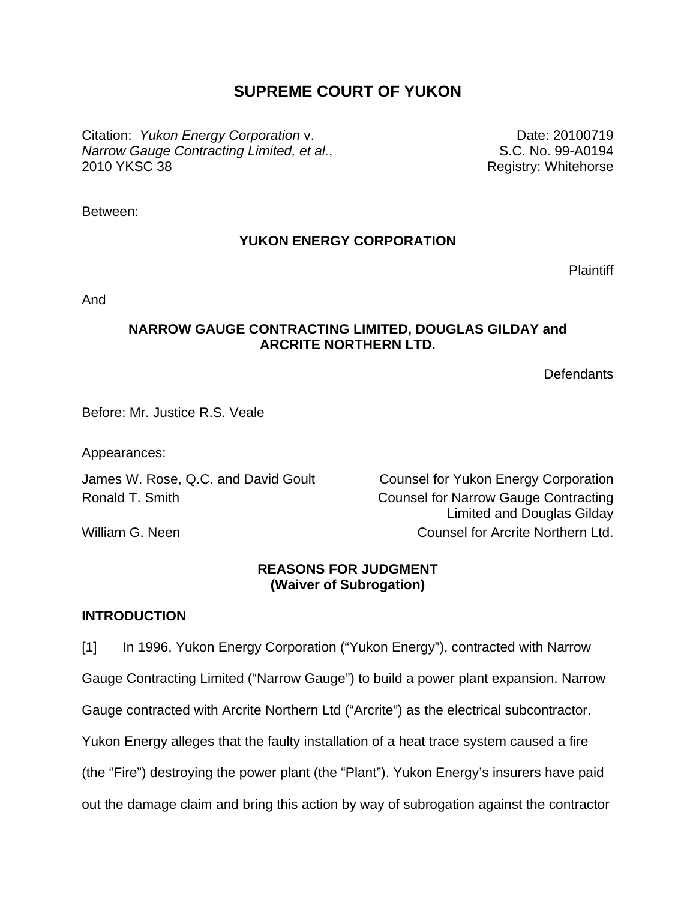# **SUPREME COURT OF YUKON**

Citation: *Yukon Energy Corporation* v. *Narrow Gauge Contracting Limited, et al.*, 2010 YKSC 38

Date: 20100719 S.C. No. 99-A0194 Registry: Whitehorse

Between:

## **YUKON ENERGY CORPORATION**

**Plaintiff** 

And

### **NARROW GAUGE CONTRACTING LIMITED, DOUGLAS GILDAY and ARCRITE NORTHERN LTD.**

**Defendants** 

Before: Mr. Justice R.S. Veale

Appearances:

James W. Rose, Q.C. and David Goult Counsel for Yukon Energy Corporation

Ronald T. Smith **Counsel for Narrow Gauge Contracting** Limited and Douglas Gilday William G. Neen **Counsel for Arcrite Northern Ltd.** 

## **REASONS FOR JUDGMENT (Waiver of Subrogation)**

### **INTRODUCTION**

[1] In 1996, Yukon Energy Corporation ("Yukon Energy"), contracted with Narrow Gauge Contracting Limited ("Narrow Gauge") to build a power plant expansion. Narrow Gauge contracted with Arcrite Northern Ltd ("Arcrite") as the electrical subcontractor. Yukon Energy alleges that the faulty installation of a heat trace system caused a fire (the "Fire") destroying the power plant (the "Plant"). Yukon Energy's insurers have paid out the damage claim and bring this action by way of subrogation against the contractor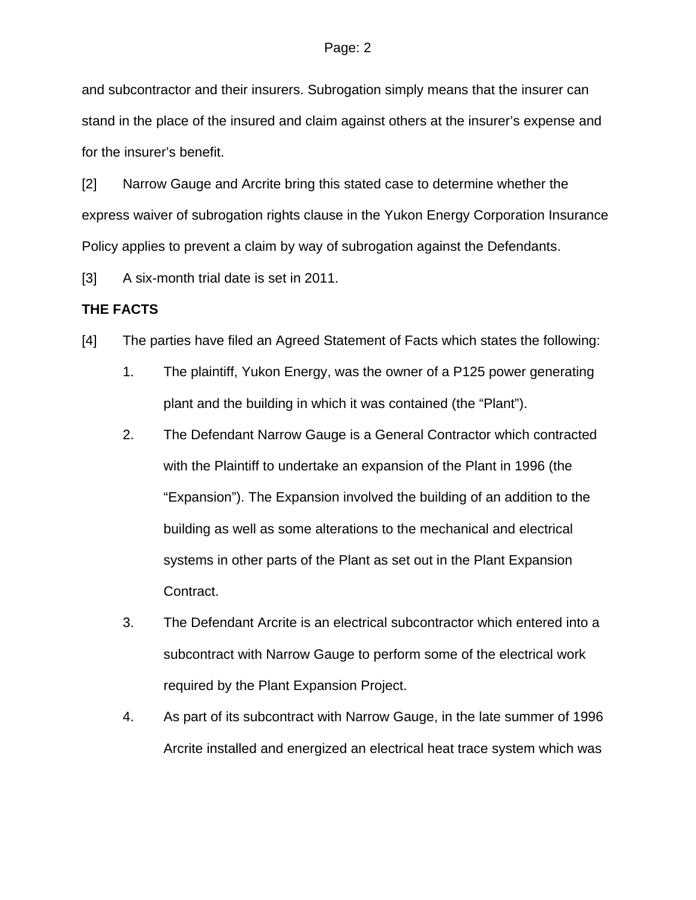and subcontractor and their insurers. Subrogation simply means that the insurer can stand in the place of the insured and claim against others at the insurer's expense and for the insurer's benefit.

[2] Narrow Gauge and Arcrite bring this stated case to determine whether the express waiver of subrogation rights clause in the Yukon Energy Corporation Insurance Policy applies to prevent a claim by way of subrogation against the Defendants.

[3] A six-month trial date is set in 2011.

### **THE FACTS**

- [4] The parties have filed an Agreed Statement of Facts which states the following:
	- 1. The plaintiff, Yukon Energy, was the owner of a P125 power generating plant and the building in which it was contained (the "Plant").
	- 2. The Defendant Narrow Gauge is a General Contractor which contracted with the Plaintiff to undertake an expansion of the Plant in 1996 (the "Expansion"). The Expansion involved the building of an addition to the building as well as some alterations to the mechanical and electrical systems in other parts of the Plant as set out in the Plant Expansion Contract.
	- 3. The Defendant Arcrite is an electrical subcontractor which entered into a subcontract with Narrow Gauge to perform some of the electrical work required by the Plant Expansion Project.
	- 4. As part of its subcontract with Narrow Gauge, in the late summer of 1996 Arcrite installed and energized an electrical heat trace system which was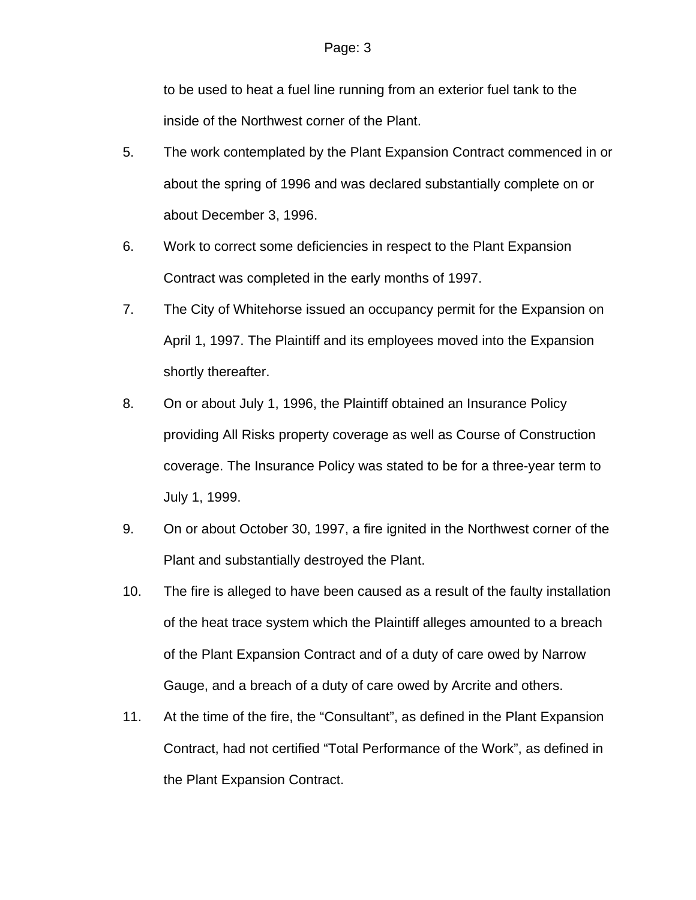to be used to heat a fuel line running from an exterior fuel tank to the inside of the Northwest corner of the Plant.

- 5. The work contemplated by the Plant Expansion Contract commenced in or about the spring of 1996 and was declared substantially complete on or about December 3, 1996.
- 6. Work to correct some deficiencies in respect to the Plant Expansion Contract was completed in the early months of 1997.
- 7. The City of Whitehorse issued an occupancy permit for the Expansion on April 1, 1997. The Plaintiff and its employees moved into the Expansion shortly thereafter.
- 8. On or about July 1, 1996, the Plaintiff obtained an Insurance Policy providing All Risks property coverage as well as Course of Construction coverage. The Insurance Policy was stated to be for a three-year term to July 1, 1999.
- 9. On or about October 30, 1997, a fire ignited in the Northwest corner of the Plant and substantially destroyed the Plant.
- 10. The fire is alleged to have been caused as a result of the faulty installation of the heat trace system which the Plaintiff alleges amounted to a breach of the Plant Expansion Contract and of a duty of care owed by Narrow Gauge, and a breach of a duty of care owed by Arcrite and others.
- 11. At the time of the fire, the "Consultant", as defined in the Plant Expansion Contract, had not certified "Total Performance of the Work", as defined in the Plant Expansion Contract.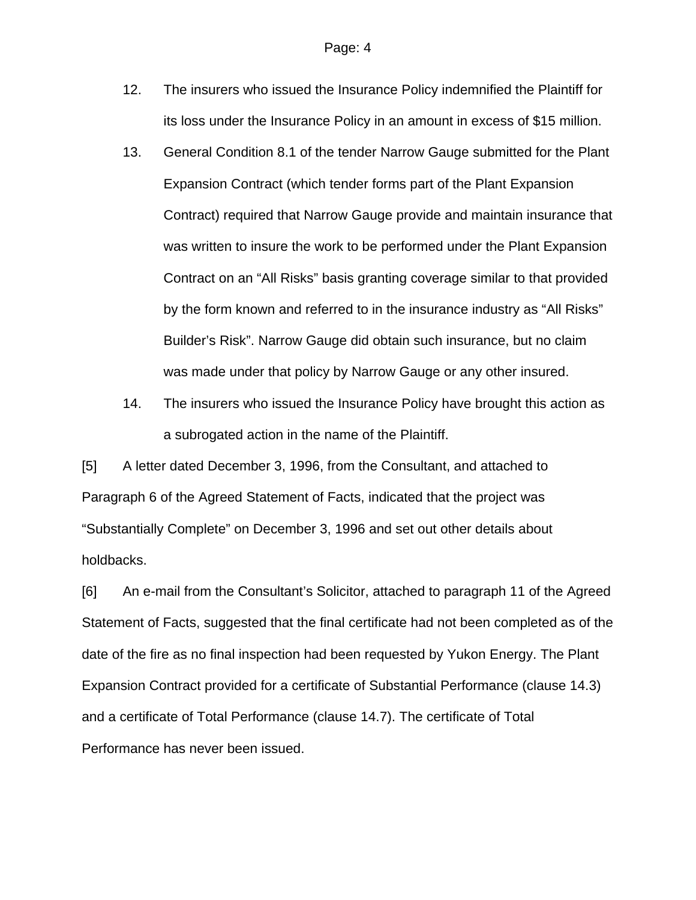- 12. The insurers who issued the Insurance Policy indemnified the Plaintiff for its loss under the Insurance Policy in an amount in excess of \$15 million.
- 13. General Condition 8.1 of the tender Narrow Gauge submitted for the Plant Expansion Contract (which tender forms part of the Plant Expansion Contract) required that Narrow Gauge provide and maintain insurance that was written to insure the work to be performed under the Plant Expansion Contract on an "All Risks" basis granting coverage similar to that provided by the form known and referred to in the insurance industry as "All Risks" Builder's Risk". Narrow Gauge did obtain such insurance, but no claim was made under that policy by Narrow Gauge or any other insured.
- 14. The insurers who issued the Insurance Policy have brought this action as a subrogated action in the name of the Plaintiff.

[5] A letter dated December 3, 1996, from the Consultant, and attached to Paragraph 6 of the Agreed Statement of Facts, indicated that the project was "Substantially Complete" on December 3, 1996 and set out other details about holdbacks.

[6] An e-mail from the Consultant's Solicitor, attached to paragraph 11 of the Agreed Statement of Facts, suggested that the final certificate had not been completed as of the date of the fire as no final inspection had been requested by Yukon Energy. The Plant Expansion Contract provided for a certificate of Substantial Performance (clause 14.3) and a certificate of Total Performance (clause 14.7). The certificate of Total Performance has never been issued.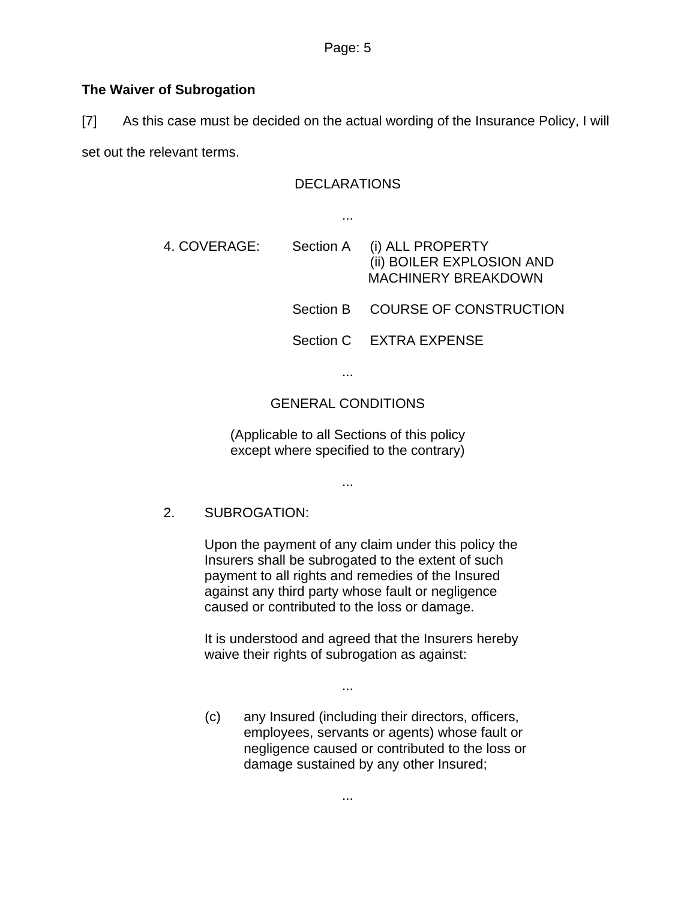## **The Waiver of Subrogation**

[7] As this case must be decided on the actual wording of the Insurance Policy, I will

set out the relevant terms.

#### **DECLARATIONS**

...

4. COVERAGE: Section A (i) ALL PROPERTY (ii) BOILER EXPLOSION AND MACHINERY BREAKDOWN Section B COURSE OF CONSTRUCTION Section C EXTRA EXPENSE

...

## GENERAL CONDITIONS

(Applicable to all Sections of this policy except where specified to the contrary)

...

2. SUBROGATION:

Upon the payment of any claim under this policy the Insurers shall be subrogated to the extent of such payment to all rights and remedies of the Insured against any third party whose fault or negligence caused or contributed to the loss or damage.

It is understood and agreed that the Insurers hereby waive their rights of subrogation as against:

...

(c) any Insured (including their directors, officers, employees, servants or agents) whose fault or negligence caused or contributed to the loss or damage sustained by any other Insured;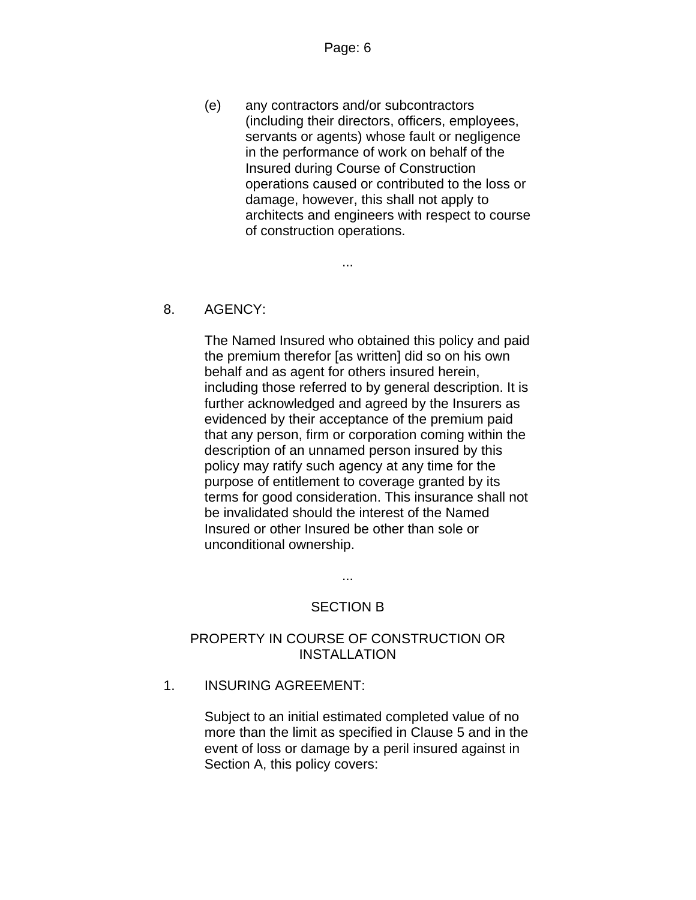(e) any contractors and/or subcontractors (including their directors, officers, employees, servants or agents) whose fault or negligence in the performance of work on behalf of the Insured during Course of Construction operations caused or contributed to the loss or damage, however, this shall not apply to architects and engineers with respect to course of construction operations.

...

### 8. AGENCY:

The Named Insured who obtained this policy and paid the premium therefor [as written] did so on his own behalf and as agent for others insured herein, including those referred to by general description. It is further acknowledged and agreed by the Insurers as evidenced by their acceptance of the premium paid that any person, firm or corporation coming within the description of an unnamed person insured by this policy may ratify such agency at any time for the purpose of entitlement to coverage granted by its terms for good consideration. This insurance shall not be invalidated should the interest of the Named Insured or other Insured be other than sole or unconditional ownership.

> ... SECTION B

# PROPERTY IN COURSE OF CONSTRUCTION OR INSTALLATION

1. INSURING AGREEMENT:

Subject to an initial estimated completed value of no more than the limit as specified in Clause 5 and in the event of loss or damage by a peril insured against in Section A, this policy covers: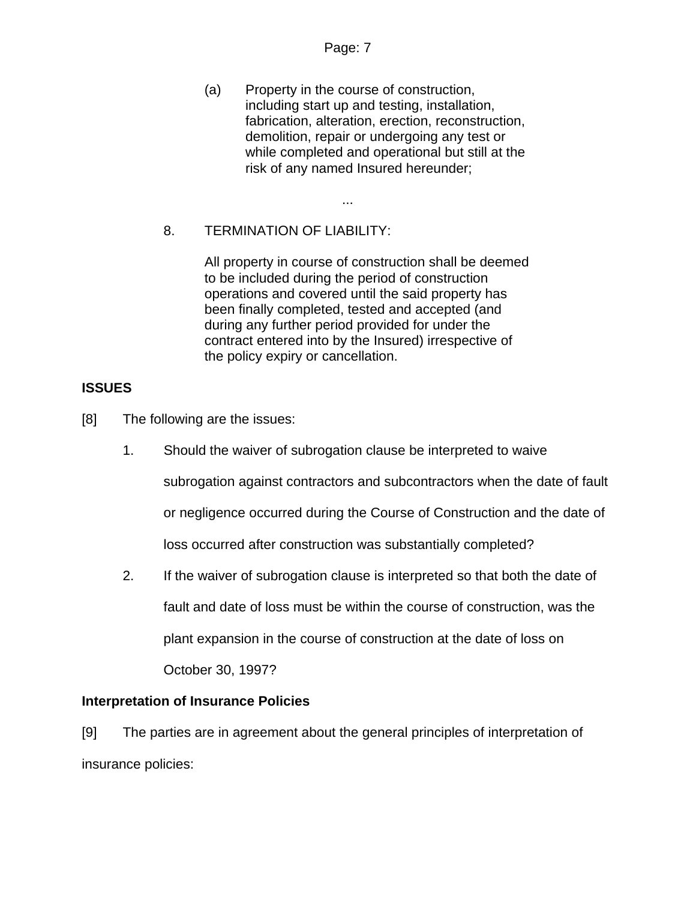#### Page: 7

...

(a) Property in the course of construction, including start up and testing, installation, fabrication, alteration, erection, reconstruction, demolition, repair or undergoing any test or while completed and operational but still at the risk of any named Insured hereunder;

## 8. TERMINATION OF LIABILITY:

All property in course of construction shall be deemed to be included during the period of construction operations and covered until the said property has been finally completed, tested and accepted (and during any further period provided for under the contract entered into by the Insured) irrespective of the policy expiry or cancellation.

### **ISSUES**

[8] The following are the issues:

- 1. Should the waiver of subrogation clause be interpreted to waive subrogation against contractors and subcontractors when the date of fault or negligence occurred during the Course of Construction and the date of loss occurred after construction was substantially completed?
- 2. If the waiver of subrogation clause is interpreted so that both the date of fault and date of loss must be within the course of construction, was the plant expansion in the course of construction at the date of loss on October 30, 1997?

### **Interpretation of Insurance Policies**

[9] The parties are in agreement about the general principles of interpretation of insurance policies: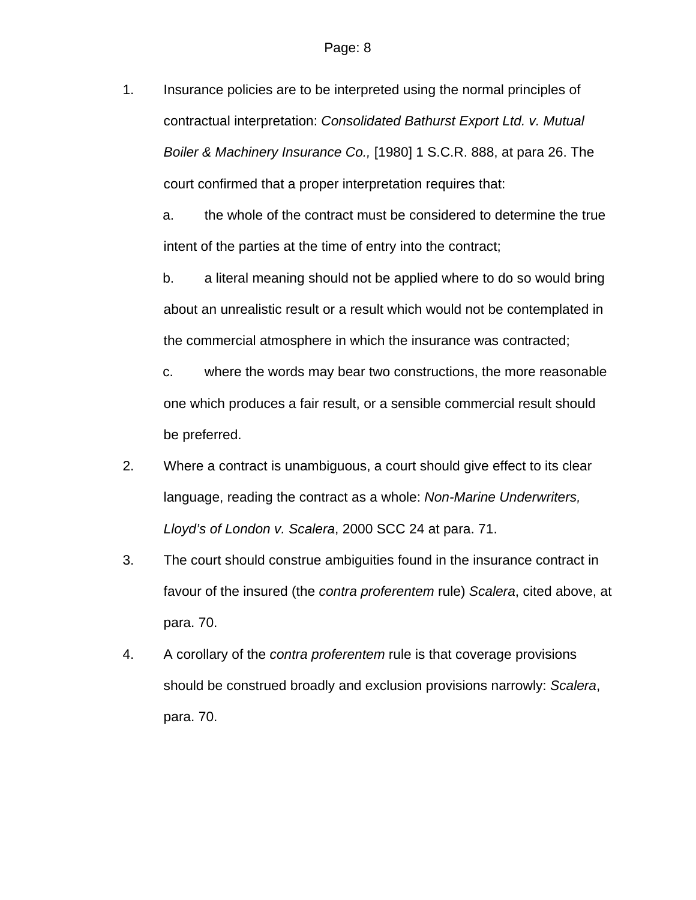1. Insurance policies are to be interpreted using the normal principles of contractual interpretation: *Consolidated Bathurst Export Ltd. v. Mutual Boiler & Machinery Insurance Co.,* [1980] 1 S.C.R. 888, at para 26. The court confirmed that a proper interpretation requires that:

a. the whole of the contract must be considered to determine the true intent of the parties at the time of entry into the contract;

b. a literal meaning should not be applied where to do so would bring about an unrealistic result or a result which would not be contemplated in the commercial atmosphere in which the insurance was contracted;

c. where the words may bear two constructions, the more reasonable one which produces a fair result, or a sensible commercial result should be preferred.

- 2. Where a contract is unambiguous, a court should give effect to its clear language, reading the contract as a whole: *Non-Marine Underwriters, Lloyd's of London v. Scalera*, 2000 SCC 24 at para. 71.
- 3. The court should construe ambiguities found in the insurance contract in favour of the insured (the *contra proferentem* rule) *Scalera*, cited above, at para. 70.
- 4. A corollary of the *contra proferentem* rule is that coverage provisions should be construed broadly and exclusion provisions narrowly: *Scalera*, para. 70.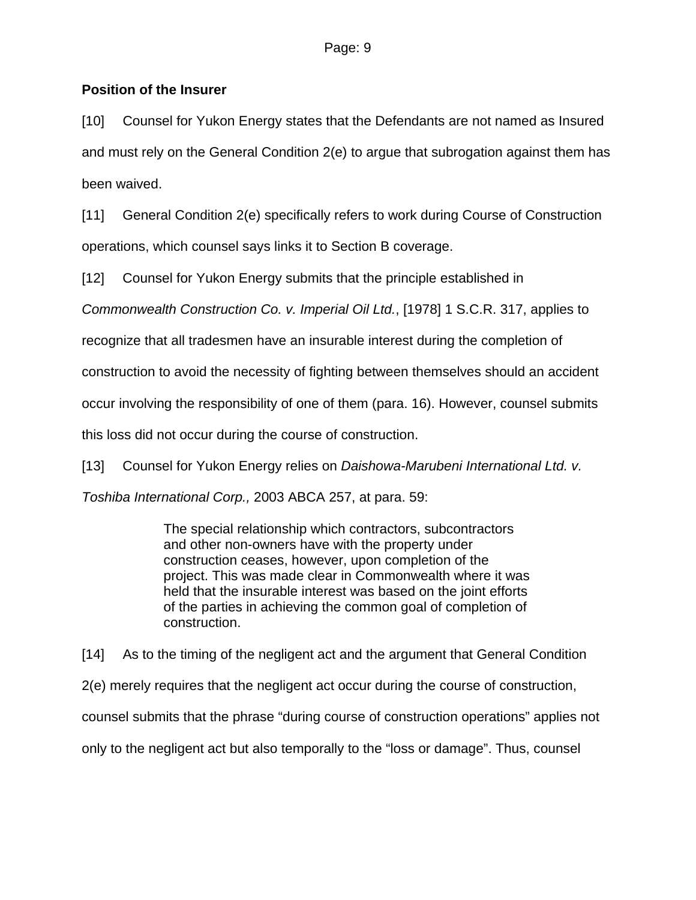## **Position of the Insurer**

[10] Counsel for Yukon Energy states that the Defendants are not named as Insured and must rely on the General Condition 2(e) to argue that subrogation against them has been waived.

[11] General Condition 2(e) specifically refers to work during Course of Construction operations, which counsel says links it to Section B coverage.

[12] Counsel for Yukon Energy submits that the principle established in

*Commonwealth Construction Co. v. Imperial Oil Ltd.*, [1978] 1 S.C.R. 317, applies to

recognize that all tradesmen have an insurable interest during the completion of

construction to avoid the necessity of fighting between themselves should an accident

occur involving the responsibility of one of them (para. 16). However, counsel submits

this loss did not occur during the course of construction.

[13] Counsel for Yukon Energy relies on *Daishowa-Marubeni International Ltd. v.* 

*Toshiba International Corp.,* 2003 ABCA 257, at para. 59:

The special relationship which contractors, subcontractors and other non-owners have with the property under construction ceases, however, upon completion of the project. This was made clear in Commonwealth where it was held that the insurable interest was based on the joint efforts of the parties in achieving the common goal of completion of construction.

[14] As to the timing of the negligent act and the argument that General Condition 2(e) merely requires that the negligent act occur during the course of construction, counsel submits that the phrase "during course of construction operations" applies not only to the negligent act but also temporally to the "loss or damage". Thus, counsel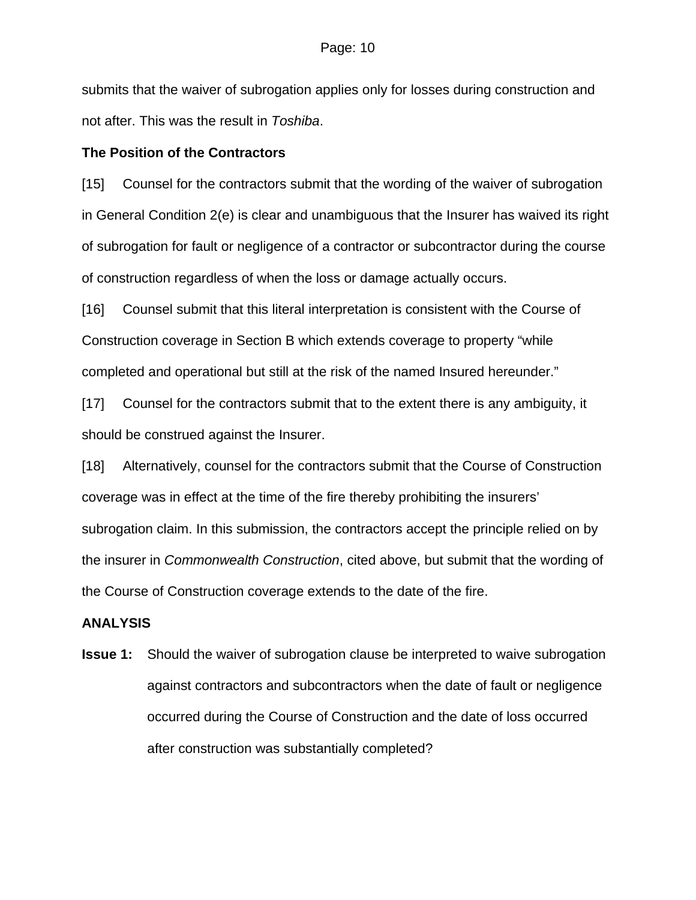submits that the waiver of subrogation applies only for losses during construction and not after. This was the result in *Toshiba*.

### **The Position of the Contractors**

[15] Counsel for the contractors submit that the wording of the waiver of subrogation in General Condition 2(e) is clear and unambiguous that the Insurer has waived its right of subrogation for fault or negligence of a contractor or subcontractor during the course of construction regardless of when the loss or damage actually occurs.

[16] Counsel submit that this literal interpretation is consistent with the Course of Construction coverage in Section B which extends coverage to property "while completed and operational but still at the risk of the named Insured hereunder."

[17] Counsel for the contractors submit that to the extent there is any ambiguity, it should be construed against the Insurer.

[18] Alternatively, counsel for the contractors submit that the Course of Construction coverage was in effect at the time of the fire thereby prohibiting the insurers' subrogation claim. In this submission, the contractors accept the principle relied on by the insurer in *Commonwealth Construction*, cited above, but submit that the wording of the Course of Construction coverage extends to the date of the fire.

### **ANALYSIS**

**Issue 1:** Should the waiver of subrogation clause be interpreted to waive subrogation against contractors and subcontractors when the date of fault or negligence occurred during the Course of Construction and the date of loss occurred after construction was substantially completed?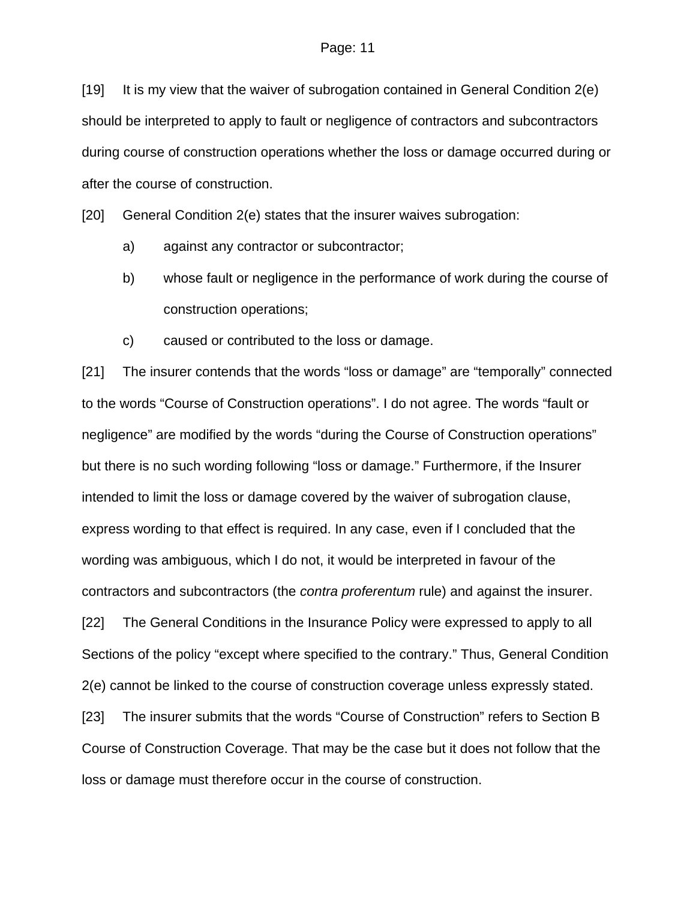[19] It is my view that the waiver of subrogation contained in General Condition 2(e) should be interpreted to apply to fault or negligence of contractors and subcontractors during course of construction operations whether the loss or damage occurred during or after the course of construction.

[20] General Condition 2(e) states that the insurer waives subrogation:

- a) against any contractor or subcontractor;
- b) whose fault or negligence in the performance of work during the course of construction operations;
- c) caused or contributed to the loss or damage.

[21] The insurer contends that the words "loss or damage" are "temporally" connected to the words "Course of Construction operations". I do not agree. The words "fault or negligence" are modified by the words "during the Course of Construction operations" but there is no such wording following "loss or damage." Furthermore, if the Insurer intended to limit the loss or damage covered by the waiver of subrogation clause, express wording to that effect is required. In any case, even if I concluded that the wording was ambiguous, which I do not, it would be interpreted in favour of the contractors and subcontractors (the *contra proferentum* rule) and against the insurer.

[22] The General Conditions in the Insurance Policy were expressed to apply to all Sections of the policy "except where specified to the contrary." Thus, General Condition 2(e) cannot be linked to the course of construction coverage unless expressly stated.

[23] The insurer submits that the words "Course of Construction" refers to Section B Course of Construction Coverage. That may be the case but it does not follow that the loss or damage must therefore occur in the course of construction.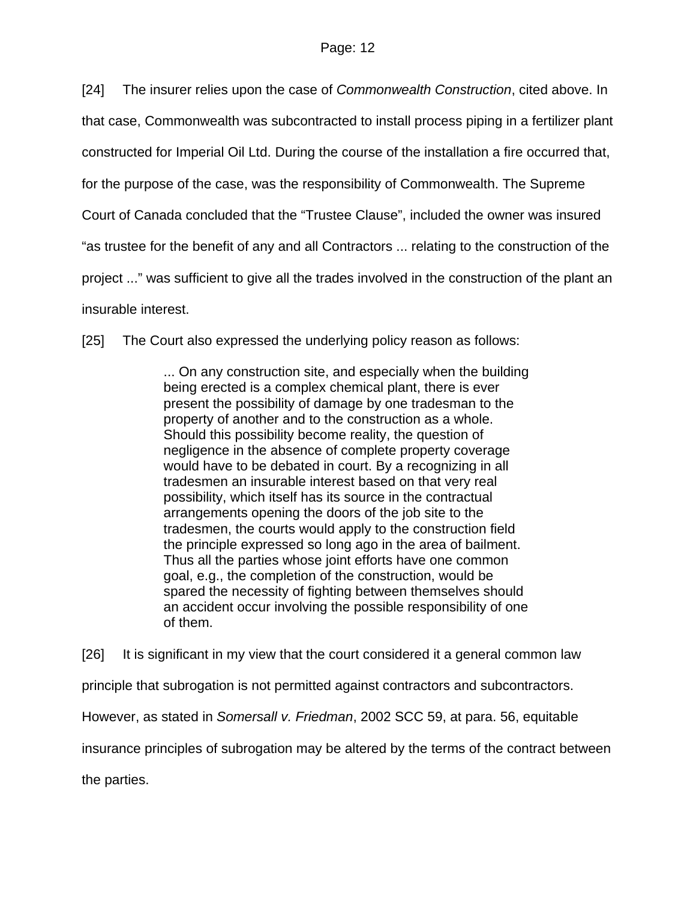[24] The insurer relies upon the case of *Commonwealth Construction*, cited above. In that case, Commonwealth was subcontracted to install process piping in a fertilizer plant constructed for Imperial Oil Ltd. During the course of the installation a fire occurred that, for the purpose of the case, was the responsibility of Commonwealth. The Supreme Court of Canada concluded that the "Trustee Clause", included the owner was insured "as trustee for the benefit of any and all Contractors ... relating to the construction of the project ..." was sufficient to give all the trades involved in the construction of the plant an insurable interest.

[25] The Court also expressed the underlying policy reason as follows:

... On any construction site, and especially when the building being erected is a complex chemical plant, there is ever present the possibility of damage by one tradesman to the property of another and to the construction as a whole. Should this possibility become reality, the question of negligence in the absence of complete property coverage would have to be debated in court. By a recognizing in all tradesmen an insurable interest based on that very real possibility, which itself has its source in the contractual arrangements opening the doors of the job site to the tradesmen, the courts would apply to the construction field the principle expressed so long ago in the area of bailment. Thus all the parties whose joint efforts have one common goal, e.g., the completion of the construction, would be spared the necessity of fighting between themselves should an accident occur involving the possible responsibility of one of them.

[26] It is significant in my view that the court considered it a general common law principle that subrogation is not permitted against contractors and subcontractors. However, as stated in *Somersall v. Friedman*, 2002 SCC 59, at para. 56, equitable insurance principles of subrogation may be altered by the terms of the contract between the parties.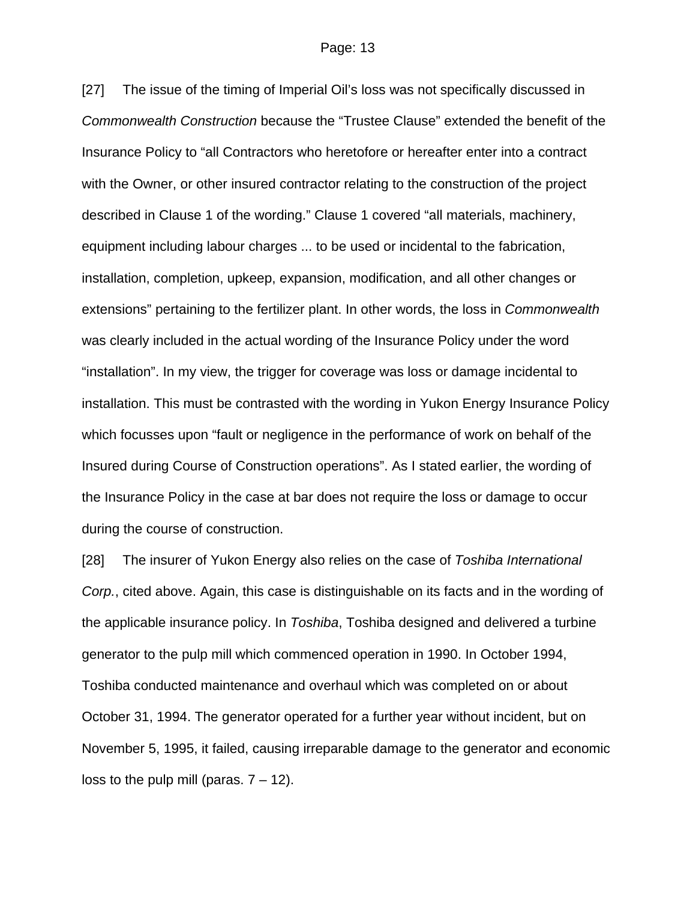[27] The issue of the timing of Imperial Oil's loss was not specifically discussed in *Commonwealth Construction* because the "Trustee Clause" extended the benefit of the Insurance Policy to "all Contractors who heretofore or hereafter enter into a contract with the Owner, or other insured contractor relating to the construction of the project described in Clause 1 of the wording." Clause 1 covered "all materials, machinery, equipment including labour charges ... to be used or incidental to the fabrication, installation, completion, upkeep, expansion, modification, and all other changes or extensions" pertaining to the fertilizer plant. In other words, the loss in *Commonwealth* was clearly included in the actual wording of the Insurance Policy under the word "installation". In my view, the trigger for coverage was loss or damage incidental to installation. This must be contrasted with the wording in Yukon Energy Insurance Policy which focusses upon "fault or negligence in the performance of work on behalf of the Insured during Course of Construction operations". As I stated earlier, the wording of the Insurance Policy in the case at bar does not require the loss or damage to occur during the course of construction.

[28] The insurer of Yukon Energy also relies on the case of *Toshiba International Corp.*, cited above. Again, this case is distinguishable on its facts and in the wording of the applicable insurance policy. In *Toshiba*, Toshiba designed and delivered a turbine generator to the pulp mill which commenced operation in 1990. In October 1994, Toshiba conducted maintenance and overhaul which was completed on or about October 31, 1994. The generator operated for a further year without incident, but on November 5, 1995, it failed, causing irreparable damage to the generator and economic loss to the pulp mill (paras.  $7 - 12$ ).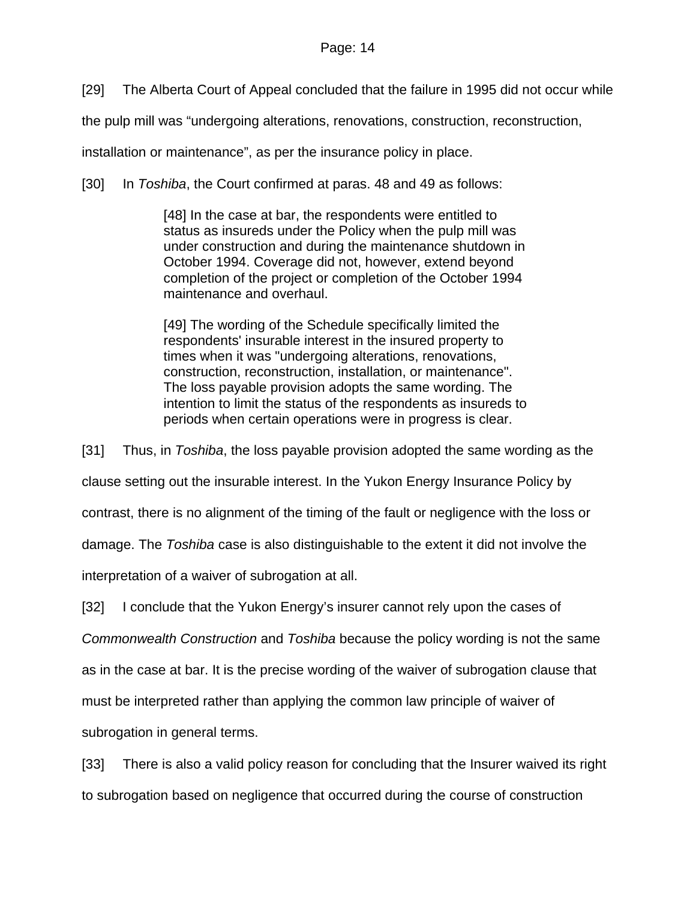[29] The Alberta Court of Appeal concluded that the failure in 1995 did not occur while

the pulp mill was "undergoing alterations, renovations, construction, reconstruction,

installation or maintenance", as per the insurance policy in place.

[30] In *Toshiba*, the Court confirmed at paras. 48 and 49 as follows:

[48] In the case at bar, the respondents were entitled to status as insureds under the Policy when the pulp mill was under construction and during the maintenance shutdown in October 1994. Coverage did not, however, extend beyond completion of the project or completion of the October 1994 maintenance and overhaul.

[49] The wording of the Schedule specifically limited the respondents' insurable interest in the insured property to times when it was "undergoing alterations, renovations, construction, reconstruction, installation, or maintenance". The loss payable provision adopts the same wording. The intention to limit the status of the respondents as insureds to periods when certain operations were in progress is clear.

[31] Thus, in *Toshiba*, the loss payable provision adopted the same wording as the clause setting out the insurable interest. In the Yukon Energy Insurance Policy by contrast, there is no alignment of the timing of the fault or negligence with the loss or damage. The *Toshiba* case is also distinguishable to the extent it did not involve the interpretation of a waiver of subrogation at all.

[32] I conclude that the Yukon Energy's insurer cannot rely upon the cases of

*Commonwealth Construction* and *Toshiba* because the policy wording is not the same

as in the case at bar. It is the precise wording of the waiver of subrogation clause that

must be interpreted rather than applying the common law principle of waiver of

subrogation in general terms.

[33] There is also a valid policy reason for concluding that the Insurer waived its right to subrogation based on negligence that occurred during the course of construction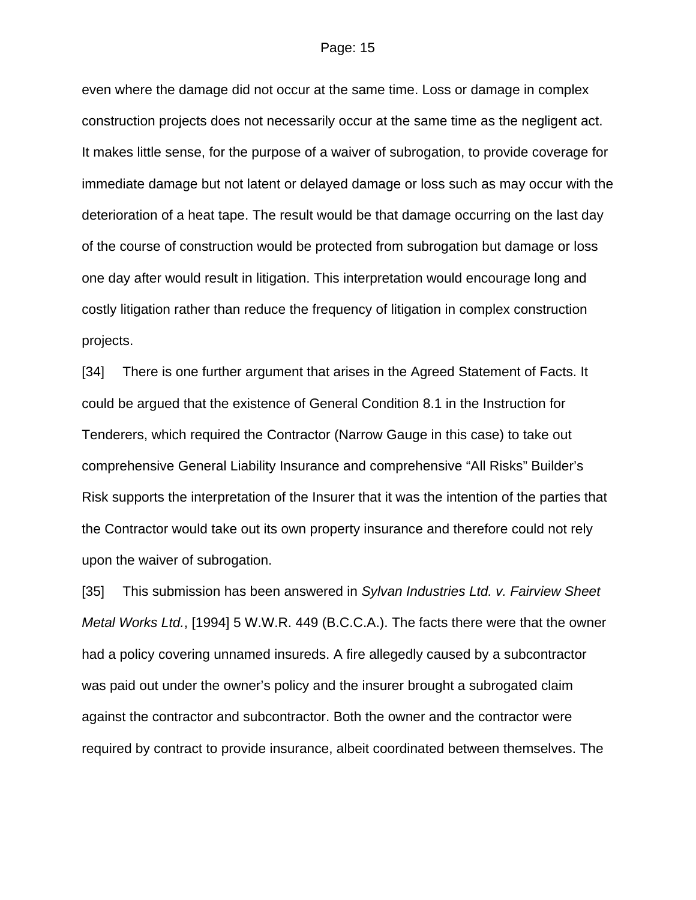even where the damage did not occur at the same time. Loss or damage in complex construction projects does not necessarily occur at the same time as the negligent act. It makes little sense, for the purpose of a waiver of subrogation, to provide coverage for immediate damage but not latent or delayed damage or loss such as may occur with the deterioration of a heat tape. The result would be that damage occurring on the last day of the course of construction would be protected from subrogation but damage or loss one day after would result in litigation. This interpretation would encourage long and costly litigation rather than reduce the frequency of litigation in complex construction projects.

[34] There is one further argument that arises in the Agreed Statement of Facts. It could be argued that the existence of General Condition 8.1 in the Instruction for Tenderers, which required the Contractor (Narrow Gauge in this case) to take out comprehensive General Liability Insurance and comprehensive "All Risks" Builder's Risk supports the interpretation of the Insurer that it was the intention of the parties that the Contractor would take out its own property insurance and therefore could not rely upon the waiver of subrogation.

[35] This submission has been answered in *Sylvan Industries Ltd. v. Fairview Sheet Metal Works Ltd.*, [1994] 5 W.W.R. 449 (B.C.C.A.). The facts there were that the owner had a policy covering unnamed insureds. A fire allegedly caused by a subcontractor was paid out under the owner's policy and the insurer brought a subrogated claim against the contractor and subcontractor. Both the owner and the contractor were required by contract to provide insurance, albeit coordinated between themselves. The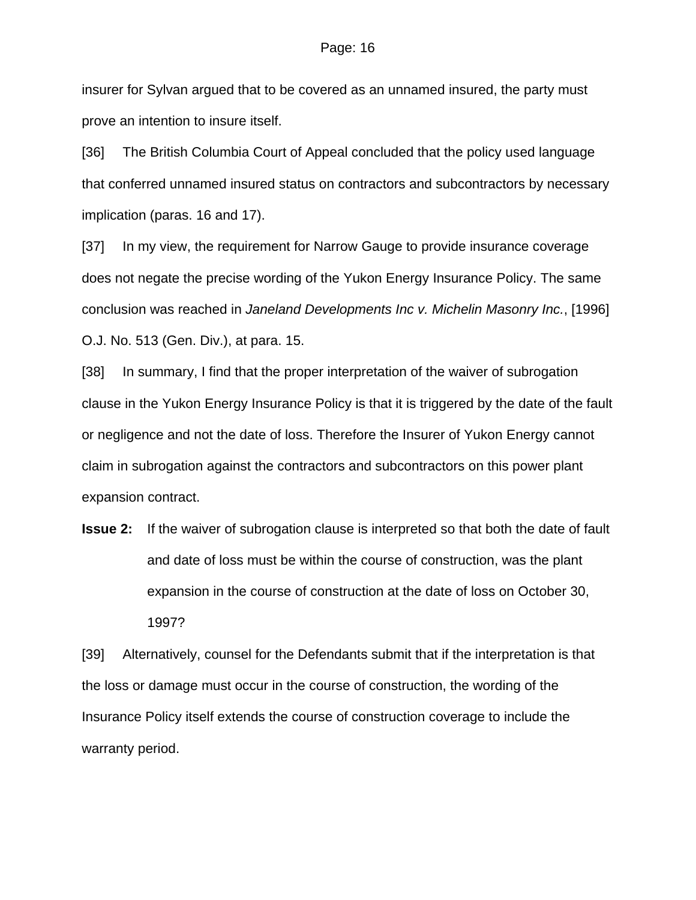insurer for Sylvan argued that to be covered as an unnamed insured, the party must prove an intention to insure itself.

[36] The British Columbia Court of Appeal concluded that the policy used language that conferred unnamed insured status on contractors and subcontractors by necessary implication (paras. 16 and 17).

[37] In my view, the requirement for Narrow Gauge to provide insurance coverage does not negate the precise wording of the Yukon Energy Insurance Policy. The same conclusion was reached in *Janeland Developments Inc v. Michelin Masonry Inc.*, [1996] O.J. No. 513 (Gen. Div.), at para. 15.

[38] In summary, I find that the proper interpretation of the waiver of subrogation clause in the Yukon Energy Insurance Policy is that it is triggered by the date of the fault or negligence and not the date of loss. Therefore the Insurer of Yukon Energy cannot claim in subrogation against the contractors and subcontractors on this power plant expansion contract.

**Issue 2:** If the waiver of subrogation clause is interpreted so that both the date of fault and date of loss must be within the course of construction, was the plant expansion in the course of construction at the date of loss on October 30, 1997?

[39] Alternatively, counsel for the Defendants submit that if the interpretation is that the loss or damage must occur in the course of construction, the wording of the Insurance Policy itself extends the course of construction coverage to include the warranty period.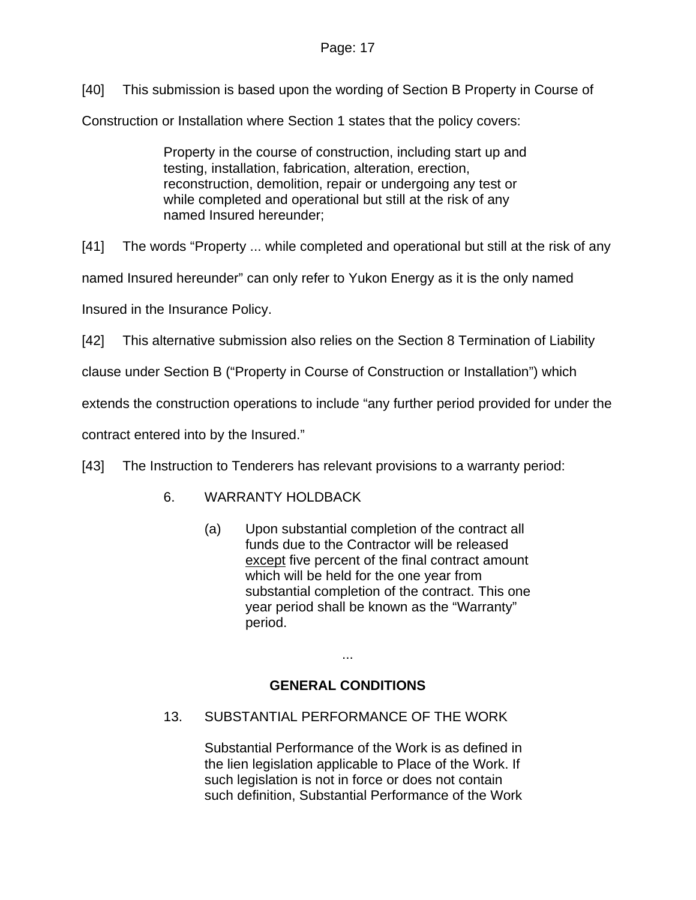[40] This submission is based upon the wording of Section B Property in Course of

Construction or Installation where Section 1 states that the policy covers:

Property in the course of construction, including start up and testing, installation, fabrication, alteration, erection, reconstruction, demolition, repair or undergoing any test or while completed and operational but still at the risk of any named Insured hereunder;

[41] The words "Property ... while completed and operational but still at the risk of any named Insured hereunder" can only refer to Yukon Energy as it is the only named Insured in the Insurance Policy.

[42] This alternative submission also relies on the Section 8 Termination of Liability

clause under Section B ("Property in Course of Construction or Installation") which

extends the construction operations to include "any further period provided for under the

contract entered into by the Insured."

[43] The Instruction to Tenderers has relevant provisions to a warranty period:

- 6. WARRANTY HOLDBACK
	- (a) Upon substantial completion of the contract all funds due to the Contractor will be released except five percent of the final contract amount which will be held for the one year from substantial completion of the contract. This one year period shall be known as the "Warranty" period.

# **GENERAL CONDITIONS**

...

13. SUBSTANTIAL PERFORMANCE OF THE WORK

Substantial Performance of the Work is as defined in the lien legislation applicable to Place of the Work. If such legislation is not in force or does not contain such definition, Substantial Performance of the Work